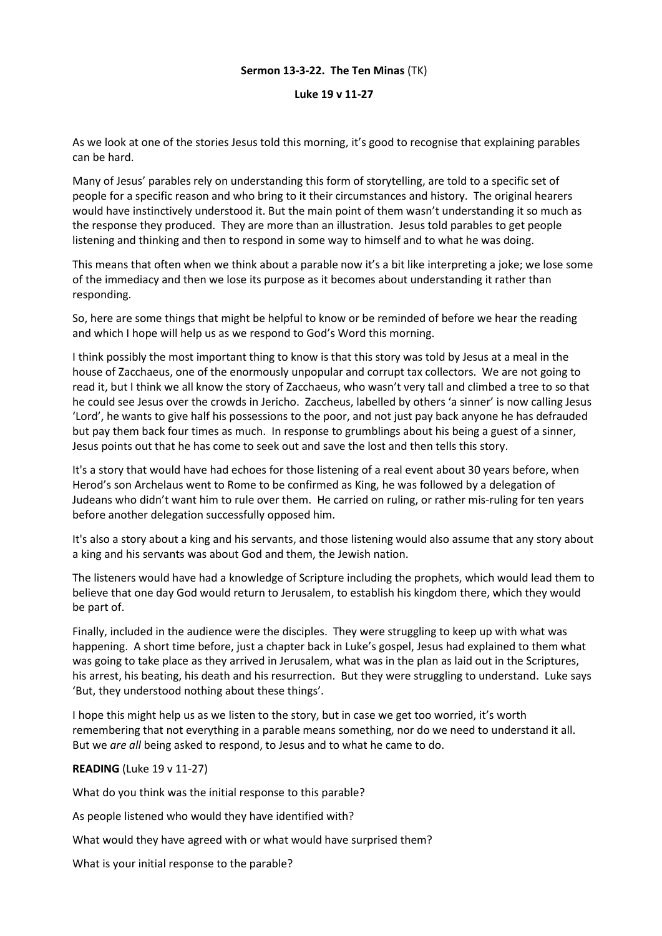#### **Sermon 13-3-22. The Ten Minas** (TK)

#### **Luke 19 v 11-27**

As we look at one of the stories Jesus told this morning, it's good to recognise that explaining parables can be hard.

Many of Jesus' parables rely on understanding this form of storytelling, are told to a specific set of people for a specific reason and who bring to it their circumstances and history. The original hearers would have instinctively understood it. But the main point of them wasn't understanding it so much as the response they produced. They are more than an illustration. Jesus told parables to get people listening and thinking and then to respond in some way to himself and to what he was doing.

This means that often when we think about a parable now it's a bit like interpreting a joke; we lose some of the immediacy and then we lose its purpose as it becomes about understanding it rather than responding.

So, here are some things that might be helpful to know or be reminded of before we hear the reading and which I hope will help us as we respond to God's Word this morning.

I think possibly the most important thing to know is that this story was told by Jesus at a meal in the house of Zacchaeus, one of the enormously unpopular and corrupt tax collectors. We are not going to read it, but I think we all know the story of Zacchaeus, who wasn't very tall and climbed a tree to so that he could see Jesus over the crowds in Jericho. Zaccheus, labelled by others 'a sinner' is now calling Jesus 'Lord', he wants to give half his possessions to the poor, and not just pay back anyone he has defrauded but pay them back four times as much. In response to grumblings about his being a guest of a sinner, Jesus points out that he has come to seek out and save the lost and then tells this story.

It's a story that would have had echoes for those listening of a real event about 30 years before, when Herod's son Archelaus went to Rome to be confirmed as King, he was followed by a delegation of Judeans who didn't want him to rule over them. He carried on ruling, or rather mis-ruling for ten years before another delegation successfully opposed him.

It's also a story about a king and his servants, and those listening would also assume that any story about a king and his servants was about God and them, the Jewish nation.

The listeners would have had a knowledge of Scripture including the prophets, which would lead them to believe that one day God would return to Jerusalem, to establish his kingdom there, which they would be part of.

Finally, included in the audience were the disciples. They were struggling to keep up with what was happening. A short time before, just a chapter back in Luke's gospel, Jesus had explained to them what was going to take place as they arrived in Jerusalem, what was in the plan as laid out in the Scriptures, his arrest, his beating, his death and his resurrection. But they were struggling to understand. Luke says 'But, they understood nothing about these things'.

I hope this might help us as we listen to the story, but in case we get too worried, it's worth remembering that not everything in a parable means something, nor do we need to understand it all. But we *are all* being asked to respond, to Jesus and to what he came to do.

## **READING** (Luke 19 v 11-27)

What do you think was the initial response to this parable?

As people listened who would they have identified with?

What would they have agreed with or what would have surprised them?

What is your initial response to the parable?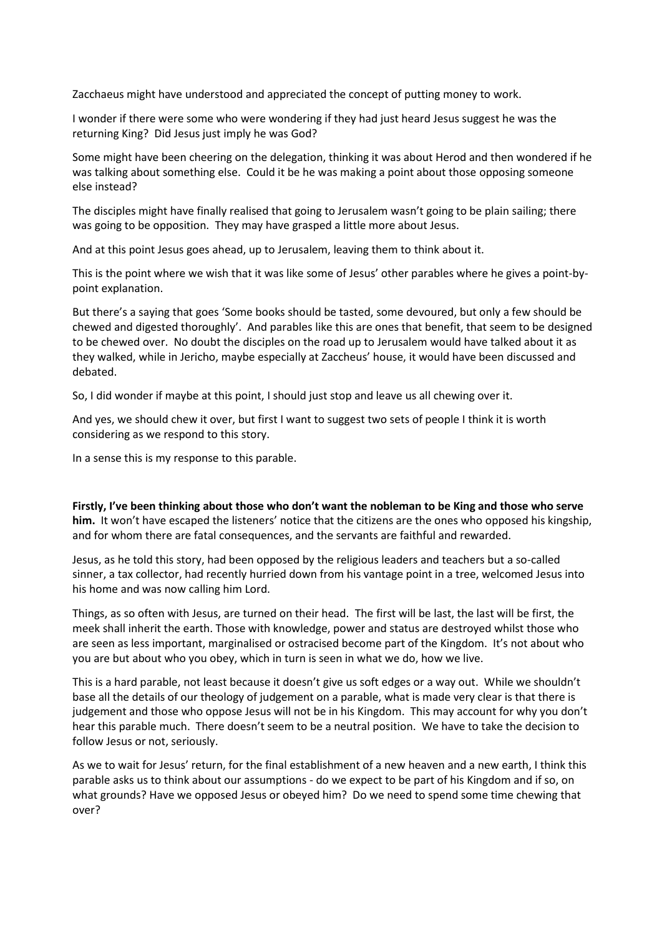Zacchaeus might have understood and appreciated the concept of putting money to work.

I wonder if there were some who were wondering if they had just heard Jesus suggest he was the returning King? Did Jesus just imply he was God?

Some might have been cheering on the delegation, thinking it was about Herod and then wondered if he was talking about something else. Could it be he was making a point about those opposing someone else instead?

The disciples might have finally realised that going to Jerusalem wasn't going to be plain sailing; there was going to be opposition. They may have grasped a little more about Jesus.

And at this point Jesus goes ahead, up to Jerusalem, leaving them to think about it.

This is the point where we wish that it was like some of Jesus' other parables where he gives a point-bypoint explanation.

But there's a saying that goes 'Some books should be tasted, some devoured, but only a few should be chewed and digested thoroughly'. And parables like this are ones that benefit, that seem to be designed to be chewed over. No doubt the disciples on the road up to Jerusalem would have talked about it as they walked, while in Jericho, maybe especially at Zaccheus' house, it would have been discussed and debated.

So, I did wonder if maybe at this point, I should just stop and leave us all chewing over it.

And yes, we should chew it over, but first I want to suggest two sets of people I think it is worth considering as we respond to this story.

In a sense this is my response to this parable.

**Firstly, I've been thinking about those who don't want the nobleman to be King and those who serve him.** It won't have escaped the listeners' notice that the citizens are the ones who opposed his kingship, and for whom there are fatal consequences, and the servants are faithful and rewarded.

Jesus, as he told this story, had been opposed by the religious leaders and teachers but a so-called sinner, a tax collector, had recently hurried down from his vantage point in a tree, welcomed Jesus into his home and was now calling him Lord.

Things, as so often with Jesus, are turned on their head. The first will be last, the last will be first, the meek shall inherit the earth. Those with knowledge, power and status are destroyed whilst those who are seen as less important, marginalised or ostracised become part of the Kingdom. It's not about who you are but about who you obey, which in turn is seen in what we do, how we live.

This is a hard parable, not least because it doesn't give us soft edges or a way out. While we shouldn't base all the details of our theology of judgement on a parable, what is made very clear is that there is judgement and those who oppose Jesus will not be in his Kingdom. This may account for why you don't hear this parable much. There doesn't seem to be a neutral position. We have to take the decision to follow Jesus or not, seriously.

As we to wait for Jesus' return, for the final establishment of a new heaven and a new earth, I think this parable asks us to think about our assumptions - do we expect to be part of his Kingdom and if so, on what grounds? Have we opposed Jesus or obeyed him? Do we need to spend some time chewing that over?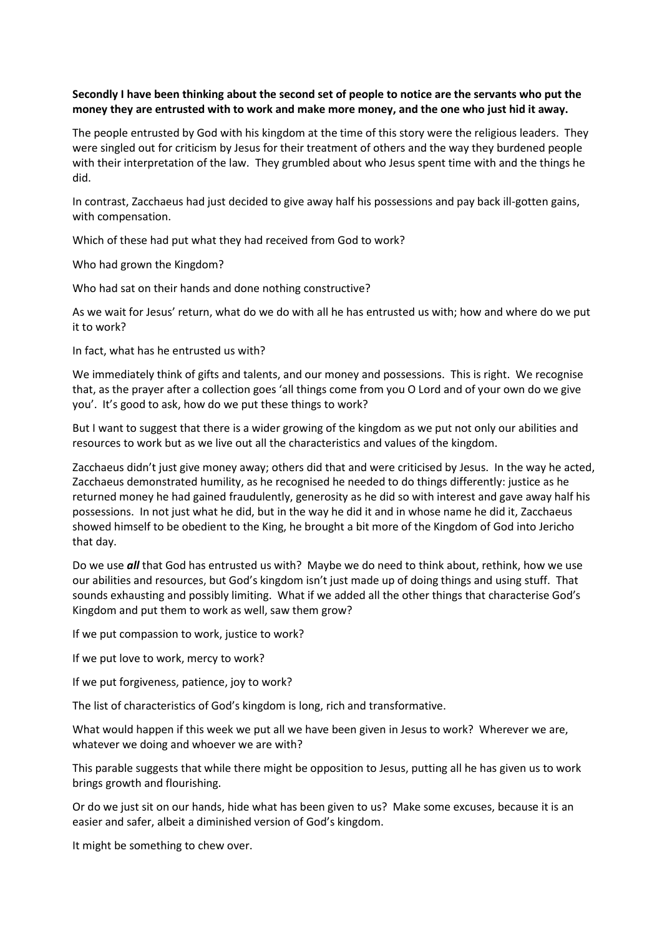## **Secondly I have been thinking about the second set of people to notice are the servants who put the money they are entrusted with to work and make more money, and the one who just hid it away.**

The people entrusted by God with his kingdom at the time of this story were the religious leaders. They were singled out for criticism by Jesus for their treatment of others and the way they burdened people with their interpretation of the law. They grumbled about who Jesus spent time with and the things he did.

In contrast, Zacchaeus had just decided to give away half his possessions and pay back ill-gotten gains, with compensation.

Which of these had put what they had received from God to work?

Who had grown the Kingdom?

Who had sat on their hands and done nothing constructive?

As we wait for Jesus' return, what do we do with all he has entrusted us with; how and where do we put it to work?

In fact, what has he entrusted us with?

We immediately think of gifts and talents, and our money and possessions. This is right. We recognise that, as the prayer after a collection goes 'all things come from you O Lord and of your own do we give you'. It's good to ask, how do we put these things to work?

But I want to suggest that there is a wider growing of the kingdom as we put not only our abilities and resources to work but as we live out all the characteristics and values of the kingdom.

Zacchaeus didn't just give money away; others did that and were criticised by Jesus. In the way he acted, Zacchaeus demonstrated humility, as he recognised he needed to do things differently: justice as he returned money he had gained fraudulently, generosity as he did so with interest and gave away half his possessions. In not just what he did, but in the way he did it and in whose name he did it, Zacchaeus showed himself to be obedient to the King, he brought a bit more of the Kingdom of God into Jericho that day.

Do we use *all* that God has entrusted us with? Maybe we do need to think about, rethink, how we use our abilities and resources, but God's kingdom isn't just made up of doing things and using stuff. That sounds exhausting and possibly limiting. What if we added all the other things that characterise God's Kingdom and put them to work as well, saw them grow?

If we put compassion to work, justice to work?

If we put love to work, mercy to work?

If we put forgiveness, patience, joy to work?

The list of characteristics of God's kingdom is long, rich and transformative.

What would happen if this week we put all we have been given in Jesus to work? Wherever we are, whatever we doing and whoever we are with?

This parable suggests that while there might be opposition to Jesus, putting all he has given us to work brings growth and flourishing.

Or do we just sit on our hands, hide what has been given to us? Make some excuses, because it is an easier and safer, albeit a diminished version of God's kingdom.

It might be something to chew over.